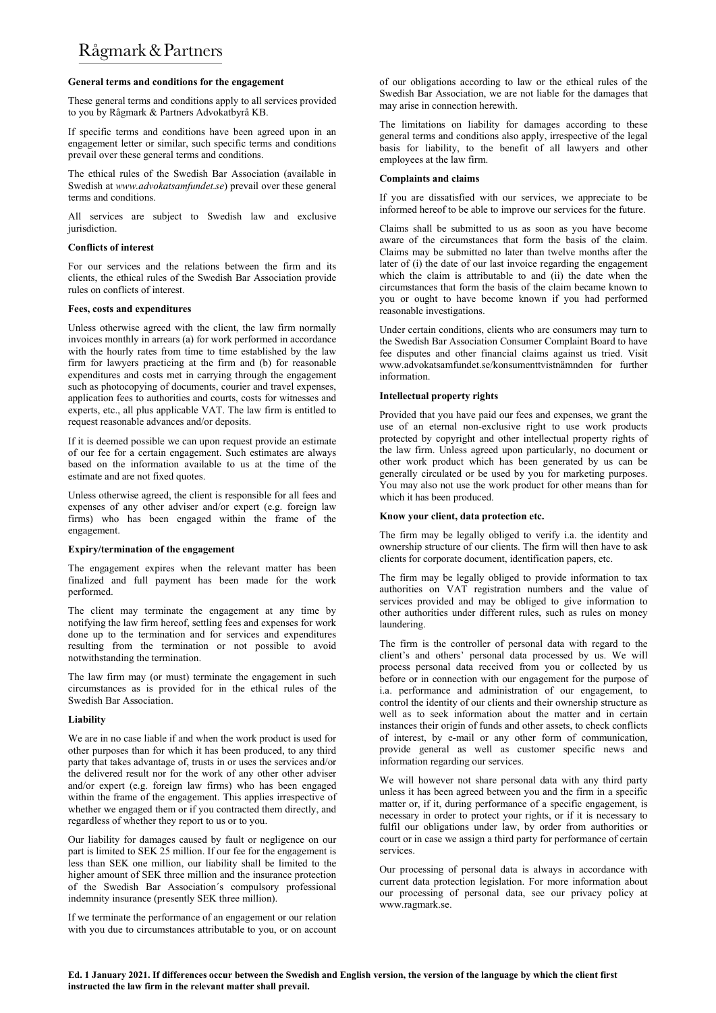# Rågmark & Partners

# General terms and conditions for the engagement

These general terms and conditions apply to all services provided to you by Rågmark & Partners Advokatbyrå KB.

If specific terms and conditions have been agreed upon in an engagement letter or similar, such specific terms and conditions prevail over these general terms and conditions.

The ethical rules of the Swedish Bar Association (available in Swedish at www.advokatsamfundet.se) prevail over these general terms and conditions.

All services are subject to Swedish law and exclusive jurisdiction.

# Conflicts of interest

For our services and the relations between the firm and its clients, the ethical rules of the Swedish Bar Association provide rules on conflicts of interest.

# Fees, costs and expenditures

Unless otherwise agreed with the client, the law firm normally invoices monthly in arrears (a) for work performed in accordance with the hourly rates from time to time established by the law firm for lawyers practicing at the firm and (b) for reasonable expenditures and costs met in carrying through the engagement such as photocopying of documents, courier and travel expenses, application fees to authorities and courts, costs for witnesses and experts, etc., all plus applicable VAT. The law firm is entitled to request reasonable advances and/or deposits.

If it is deemed possible we can upon request provide an estimate of our fee for a certain engagement. Such estimates are always based on the information available to us at the time of the estimate and are not fixed quotes.

Unless otherwise agreed, the client is responsible for all fees and expenses of any other adviser and/or expert (e.g. foreign law firms) who has been engaged within the frame of the engagement.

# Expiry/termination of the engagement

The engagement expires when the relevant matter has been finalized and full payment has been made for the work performed.

The client may terminate the engagement at any time by notifying the law firm hereof, settling fees and expenses for work done up to the termination and for services and expenditures resulting from the termination or not possible to avoid notwithstanding the termination.

The law firm may (or must) terminate the engagement in such circumstances as is provided for in the ethical rules of the Swedish Bar Association.

# Liability

We are in no case liable if and when the work product is used for other purposes than for which it has been produced, to any third party that takes advantage of, trusts in or uses the services and/or the delivered result nor for the work of any other other adviser and/or expert (e.g. foreign law firms) who has been engaged within the frame of the engagement. This applies irrespective of whether we engaged them or if you contracted them directly, and regardless of whether they report to us or to you.

Our liability for damages caused by fault or negligence on our part is limited to SEK 25 million. If our fee for the engagement is less than SEK one million, our liability shall be limited to the higher amount of SEK three million and the insurance protection of the Swedish Bar Association´s compulsory professional indemnity insurance (presently SEK three million).

If we terminate the performance of an engagement or our relation with you due to circumstances attributable to you, or on account of our obligations according to law or the ethical rules of the Swedish Bar Association, we are not liable for the damages that may arise in connection herewith.

The limitations on liability for damages according to these general terms and conditions also apply, irrespective of the legal basis for liability, to the benefit of all lawyers and other employees at the law firm.

# Complaints and claims

If you are dissatisfied with our services, we appreciate to be informed hereof to be able to improve our services for the future.

Claims shall be submitted to us as soon as you have become aware of the circumstances that form the basis of the claim. Claims may be submitted no later than twelve months after the later of (i) the date of our last invoice regarding the engagement which the claim is attributable to and (ii) the date when the circumstances that form the basis of the claim became known to you or ought to have become known if you had performed reasonable investigations.

Under certain conditions, clients who are consumers may turn to the Swedish Bar Association Consumer Complaint Board to have fee disputes and other financial claims against us tried. Visit www.advokatsamfundet.se/konsumenttvistnämnden for further information.

# Intellectual property rights

Provided that you have paid our fees and expenses, we grant the use of an eternal non-exclusive right to use work products protected by copyright and other intellectual property rights of the law firm. Unless agreed upon particularly, no document or other work product which has been generated by us can be generally circulated or be used by you for marketing purposes. You may also not use the work product for other means than for which it has been produced.

# Know your client, data protection etc.

The firm may be legally obliged to verify i.a. the identity and ownership structure of our clients. The firm will then have to ask clients for corporate document, identification papers, etc.

The firm may be legally obliged to provide information to tax authorities on VAT registration numbers and the value of services provided and may be obliged to give information to other authorities under different rules, such as rules on money laundering.

The firm is the controller of personal data with regard to the client's and others' personal data processed by us. We will process personal data received from you or collected by us before or in connection with our engagement for the purpose of i.a. performance and administration of our engagement, to control the identity of our clients and their ownership structure as well as to seek information about the matter and in certain instances their origin of funds and other assets, to check conflicts of interest, by e-mail or any other form of communication, provide general as well as customer specific news and information regarding our services.

We will however not share personal data with any third party unless it has been agreed between you and the firm in a specific matter or, if it, during performance of a specific engagement, is necessary in order to protect your rights, or if it is necessary to fulfil our obligations under law, by order from authorities or court or in case we assign a third party for performance of certain services.

Our processing of personal data is always in accordance with current data protection legislation. For more information about our processing of personal data, see our privacy policy at www.ragmark.se.